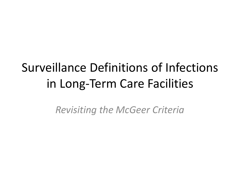# Surveillance Definitions of Infections in Long-Term Care Facilities

*Revisiting the McGeer Criteria*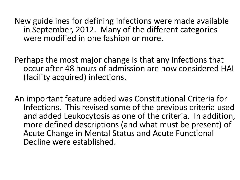New guidelines for defining infections were made available in September, 2012. Many of the different categories were modified in one fashion or more.

Perhaps the most major change is that any infections that occur after 48 hours of admission are now considered HAI (facility acquired) infections.

An important feature added was Constitutional Criteria for Infections. This revised some of the previous criteria used and added Leukocytosis as one of the criteria. In addition, more defined descriptions (and what must be present) of Acute Change in Mental Status and Acute Functional Decline were established.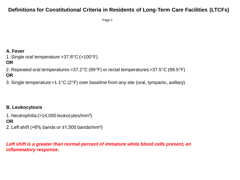# **Definitions for Constitutional Criteria in Residents of Long-Term Care Facilities (LTCFs)**

Page 1

# **A. Fever**

1. Single oral temperature >37.8°C (>100°F)

# **OR**

2. Repeated oral temperatures >37.2°C (99°F) or rectal temperatures >37.5°C (99.5°F) **OR**

3. Single temperature >1.1°C (2°F) over baseline from any site (oral, tympanic, axillary)

# **B. Leukocytosis**

1. Neutrophilia (>14,000 leukocytes/mm<sup>3</sup> )

# **OR**

2. Left shift (>6% bands or  $\geq 1,500$  bands/mm<sup>3</sup>)

*Left shift is a greater than normal percent of immature white blood cells present, an inflammatory response.*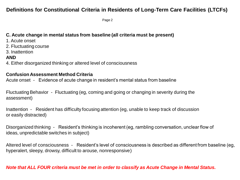# **Definitions for Constitutional Criteria in Residents of Long-Term Care Facilities (LTCFs)**

Page 2

# **C. Acute change in mental status from baseline (all criteria must be present)**

- 1. Acute onset
- 2. Fluctuating course
- 3. Inattention

# **AND**

4. Either disorganized thinking or altered level of consciousness

# **Confusion Assessment Method Criteria**

Acute onset - Evidence of acute change in resident's mental status from baseline

Fluctuating Behavior - Fluctuating (eg, coming and going or changing in severity during the assessment)

Inattention - Resident has difficulty focusing attention (eg, unable to keep track of discussion or easily distracted)

Disorganized thinking - Resident's thinking is incoherent (eg, rambling conversation, unclear flow of ideas, unpredictable switches in subject)

Altered level of consciousness - Resident's level of consciousness is described as different from baseline (eg, hyperalert, sleepy, drowsy, difficult to arouse, nonresponsive)

# *Note that ALL FOUR criteria must be met in order to classify as Acute Change in Mental Status.*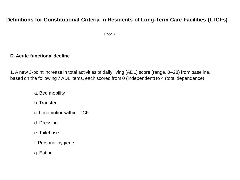# **Definitions for Constitutional Criteria in Residents of Long-Term Care Facilities (LTCFs)**

Page 3

# **D. Acute functional decline**

1. A new 3-point increase in total activities of daily living (ADL) score (range, 0–28) from baseline, based on the following 7 ADL items, each scored from 0 (independent) to 4 (total dependence)

- a. Bed mobility
- b. Transfer
- c. Locomotion within LTCF
- d. Dressing
- e. Toilet use
- f. Personal hygiene
- g. Eating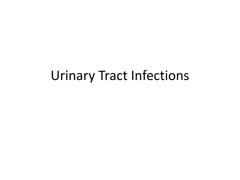# Urinary Tract Infections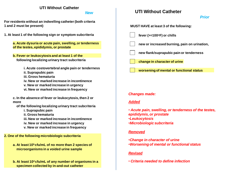## **UTI Without Catheter**

*New*

**For residents without an indwelling catheter (both criteria 1 and 2 must be present)**

**1. At least 1 of the following sign or symptom subcriteria**

**a. Acute dysuria or acute pain, swelling, or tenderness of the testes, epididymis, or prostate**

- **b. Fever or leukocytosis and at least 1 of the following localizing urinary tract subcriteria**
	- **i. Acute costovertebral angle pain or tenderness**
	- **ii. Suprapubic pain**
	- **iii. Gross hematuria**
	- **iv. New or marked increase in incontinence**
	- **v. New or marked increase in urgency**
	- **vi. New or marked increase in frequency**

**c. In the absence of fever or leukocytosis, then 2 or more**

- **of the following localizing urinary tract subcriteria**
	- **i. Suprapubic pain**
	- **ii. Gross hematuria**
	- **iii. New or marked increase in incontinence**
	- **iv. New or marked increase in urgency**
	- **v. New or marked increase in frequency**

**2. One of the following microbiologic subcriteria**

**a. At least 105 cfu/mL of no more than 2 species of microorganisms in a voided urine sample**

**b. At least 102 cfu/mL of any number of organisms in a specimen collected by in-and-out catheter**

# **UTI Without Catheter**

*Prior* **MUST HAVE at least 3 of the following: fever (>=100oF) or chills new or increased burning, pain on urination, new flank/suprapubic pain or tenderness change in character of urine worsening of mental or functional status** *Changes made: Added* • *Acute pain, swelling, or tenderness of the testes, epididymis, or prostate* •*Leukocytosis* •*Microbiologic subcriteria Removed* •*Change in character of urine* •*Worsening of mental or functional status Revised*

• *Criteria needed to define infection*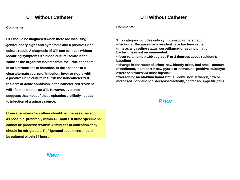**Comments:**

**UTI should be diagnosed when there are localizing genitourinary signs and symptoms and a positive urine culture result. A diagnosis of UTI can be made without localizing symptoms if a blood culture isolate is the same as the organism isolated from the urine and there is no alternate site of infection. In the absence of a clear alternate source of infection, fever or rigors with a positive urine culture result in the noncatheterized resident or acute confusion in the catheterized resident will often be treated as UTI. However, evidence suggests that most of these episodes are likely not due to infection of a urinary source.**

**Urine specimens for culture should be processed as soon as possible, preferably within 1–2 hours. If urine specimens cannot be processed within 30 minutes of collection, they should be refrigerated. Refrigerated specimens should be cultured within 24 hours.**

# **UTI Without Catheter UTI Without Catheter**

**Comments:**

**This category includes only symptomatic urinary tract infections. Because many resident have bacteria in their urine as a baseline status, surveillance for asymptomatic bacteriuria is not recommended.** 

**\* fever (oral temp > 100 degrees F or 2 degrees above resident's baseline)**

**\* change in character of urine; new bloody urine, foul smell, amount of sediment, lab report = new pyuria or hematuria, positive leukocyte esterase nitrates via urine dipstick.**

**\* worsening mental/functional status; confusion, letharcy, new or increased incontinence, decreased activity, decreased appetite, falls.**

# *Prior*

*New*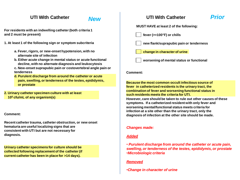**For residents with an indwelling catheter (both criteria 1 and 2 must be present)**

- **1. At least 1 of the following sign or symptom subcriteria**
	- **a. Fever, rigors, or new-onset hypotension, with no alternate site of infection**
	- **b. Either acute change in mental status or acute functional decline, with no alternate diagnosis and leukocytosis**
	- **c. New-onset suprapubic pain or costovertebral angle pain or tenderness**
	- **d. Purulent discharge from around the catheter or acute pain, swelling, or tenderness of the testes, epididymis, or prostate**

**2. Urinary catheter specimen culture with at least 10<sup>5</sup> cfu/mL of any organism(s)**

#### **Comment:**

**Recent catheter trauma, catheter obstruction, or new onset hematuria are useful localizing signs that are consistent with UTI but are not necessary for diagnosis.**

**Urinary catheter specimens for culture should be collected following replacement of the catheter (if current catheter has been in place for >14 days).**

# **UTI With Catheter** *New* **UTI With Catheter** *Prior*

#### **MUST HAVE at least 2 of the following:**

- **fever (>=100°F) or chills**
- **new flank/suprapubic pain or tenderness**
- **change in character of urine**
- **worsening of mental status or functional**

#### **Comment:**

**Because the most common occult infectious source of fever in catheterized residents is the urinary tract, the combination of fever and worsening functional status in such residents meets the criteria for UTI. However, care should be taken to rule out other causes of these** 

**symptoms. If a catheterized resident with only fever and worsening mental/functional status meets criteria for infection at a site other than the urinary tract, only the diagnosis of infection at the other site should be made.**

#### *Changes made:*

#### *Added*

• *Purulent discharge from around the catheter or acute pain, swelling, or tenderness of the testes, epididymis, or prostate* •*Microbiologic criteria*

#### *Removed*

•*Change in character of urine*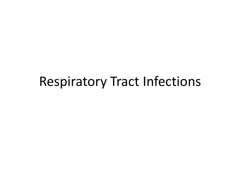# Respiratory Tract Infections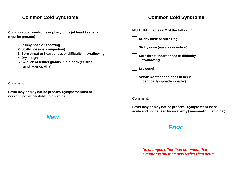## **Common Cold Syndrome Common Cold Syndrome**

**Common cold syndrome or pharyngitis (at least 2 criteria must be present)**

- **1. Runny nose or sneezing**
- **2. Stuffy nose (ie, congestion)**
- **3. Sore throat or hoarseness or difficulty in swallowing**
- **4. Dry cough**
- **5. Swollen or tender glands in the neck (cervical lymphadenopathy)**

**Comment:**

**Fever may or may not be present. Symptoms must be new and not attributable to allergies.**

*New*



#### **Comment:**

**Fever may or may not be present. Symptoms must be acute and not caused by an allergy (seasonal or medicinal).**

# *Prior*

*No changes other than comment that symptoms must be new rather than acute.*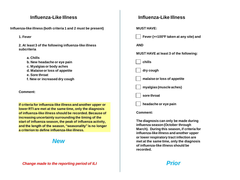**Influenza-like illness (both criteria 1 and 2 must be present)**

**1. Fever**

**2. At least 3 of the following influenza-like illness subcriteria**

- **a. Chills**
- **b. New headache or eye pain**
- **c. Myalgias or body aches**
- **d. Malaise or loss of appetite**
- **e. Sore throat**
- **f. New or increased dry cough**

**Comment:**

**If criteria for influenza-like illness and another upper or lower RTI are met at the same time, only the diagnosis of influenza-like illness should be recorded. Because of increasing uncertainty surrounding the timing of the start of influenza season, the peak of influenza activity, and the length of the season, "seasonality" is no longer a criterion to define influenza-like illness.**

# *New*

# **Influenza-Like Illness Influenza-Like Illness**

#### **MUST HAVE:**

 **Fever (>=100ºF taken at any site) and**

**AND**

**MUST HAVE at least 3 of the following:**

 **chills**

 **dry cough**

 **malaise or loss of appetite**

 **myalgias (muscle aches)** 

 **sore throat**

 **headache or eye pain**

### **Comment:**

**The diagnosis can only be made during influenza season (October through March). During this season, if criteria for influenza-like illness and another upper or lower respiratory tract infection are met at the same time, only the diagnosis of influenza-like illness should be recorded.**

# *Prior*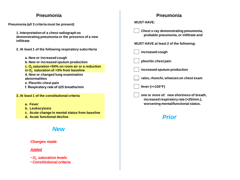## **Pneumonia Pneumonia**

**Pneumonia (all 3 criteria must be present)**

**1. Interpretation of a chest radiograph as demonstrating pneumonia or the presence of a new infiltrate**

- **2. At least 1 of the following respiratory subcriteria**
	- **a. New or increased cough b. New or increased sputum production c. O2 saturation <94% on room air or a reduction in O2 saturation of >3% from baseline d. New or changed lung examination abnormalities e. Pleuritic chest pain f. Respiratory rate of ≥25 breaths/min**
- **3. At least 1 of the constitutional criteria**
	- **a. Fever**
	- **b. Leukocytosis**
	- **c. Acute change in mental status from baseline**
	- **d, Acute functional decline**

# *New*

## *Changes made:*

## *Added*

- *O2 saturation levels*
- *Constitutional criteria*

| Pneumonia                                                                                                                 |  |  |
|---------------------------------------------------------------------------------------------------------------------------|--|--|
| <b>MUST HAVE:</b>                                                                                                         |  |  |
| Chest x-ray demonstrating pneumonia,<br>probable pneumonia, or infiltrate and                                             |  |  |
| <b>MUST HAVE at least 2 of the following:</b>                                                                             |  |  |
| increased cough                                                                                                           |  |  |
| pleuritic chest pain                                                                                                      |  |  |
| increased sputum production                                                                                               |  |  |
| rales, rhonchi, wheezes on chest exam                                                                                     |  |  |
| fever $(>=100°F)$                                                                                                         |  |  |
| one or more of: new shortness of breath,<br>increased respiratory rate (>25/min.),<br>worsening mental/functional status. |  |  |

# *Prior*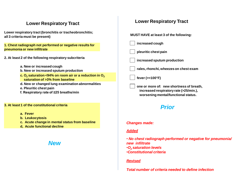# **Lower Respiratory Tract**

**Lower respiratory tract (bronchitis or tracheobronchitis; all 3 criteria must be present)**

**1. Chest radiograph not performed or negative results for pneumonia or new infiltrate**

- **2. At least 2 of the following respiratory subcriteria**
	- **a. New or increased cough**
	- **b. New or increased sputum production**
	- **c. O2 saturation <94% on room air or a reduction in O<sup>2</sup> saturation of >3% from baseline**
	- **d. New or changed lung examination abnormalities**
	- **e. Pleuritic chest pain**
	- **f. Respiratory rate of ≥25 breaths/min**

#### **3. At least 1 of the constitutional criteria**

- **a. Fever**
- **b. Leukocytosis**
- **c. Acute change in mental status from baseline**
- **d, Acute functional decline**

# *New*

|  | <b>Lower Respiratory Tract</b> |  |
|--|--------------------------------|--|
|--|--------------------------------|--|

**MUST HAVE at least 3 of the following: increased cough pleuritic chest pain increased sputum production rales, rhonchi, wheezes on chest exam fever (>=100°F) one or more of: new shortness of breath, increased respiratory rate (>25/min.), worsening mental/functional status.** 

# *Prior*

#### *Changes made:*

#### *Added*

• *No chest radiograph performed or negative for pneumonia/ new infiltrate* •*O2 saturation levels* •*Constitutional criteria*

#### *Revised*

*Total number of criteria needed to define infection*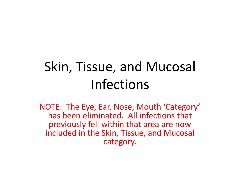# Skin, Tissue, and Mucosal Infections

NOTE: The Eye, Ear, Nose, Mouth 'Category' has been eliminated. All infections that previously fell within that area are now included in the Skin, Tissue, and Mucosal category.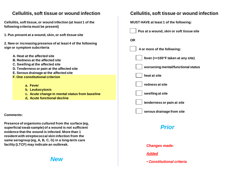## **Cellulitis, soft tissue or wound infection Cellulitis, soft tissue or wound infection**

**Cellulitis, soft tissue, or wound infection (at least 1 of the following criteria must be present)**

**1. Pus present at a wound, skin, or soft tissue site**

**2. New or increasing presence of at least 4 of the following sign or symptom subcriteria**

- **A. Heat at the affected site**
- **B. Redness at the affected site**
- **C. Swelling at the affected site**
- **D. Tenderness or pain at the affected site**
- **E. Serous drainage at the affected site**
- **F. One constitutional criterion**
	- **a. Fever**
	- **b. Leukocytosis**
	- **c. Acute change in mental status from baseline**
	- **d, Acute functional decline**

**Comments:**

**Presence of organisms cultured from the surface (eg, superficial swab sample) of a wound is not sufficient evidence that the wound is infected. More than 1 resident with streptococcal skin infection from the same serogroup (eg, A, B, C, G) in a long-term care facility (LTCF) may indicate an outbreak.**

*New*

**MUST HAVE at least 1 of the following:**



 **4 or more of the following:**

 **fever (>=100°F taken at any site)** 

 **worsening mental/functional status**

 **heat at site**

 **redness at site**

 **swelling at site**

 **tenderness or pain at site**

 **serous drainage from site**

# *Prior*

*Changes made:*

## *Added*

• *Constitutional criteria*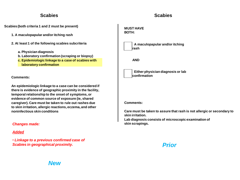**Scabies (both criteria 1 and 2 must be present)**

- **1. A maculopapular and/or itching rash**
- **2. At least 1 of the following scabies subcriteria**
	- **a. Physician diagnosis**
	- **b. Laboratory confirmation (scraping or biopsy)**
	- **c. Epidemiologic linkage to a case of scabies with laboratory confirmation**

**Comments:**

**An epidemiologic linkage to a case can be considered if there is evidence of geographic proximity in the facility, temporal relationship to the onset of symptoms, or evidence of common source of exposure (ie, shared caregiver). Care must be taken to rule out rashes due to skin irritation, allergic reactions, eczema, and other noninfectious skin conditions**

## *Changes made:*

## *Added*

• *Linkage to a previous confirmed case of Scabies in geographical proximity.*

### **MUST HAVE BOTH:**



 **A maculopapular and/or itching rash** 

**AND**



 **Either physician diagnosis or lab confirmation**

### **Comments:**

**Care must be taken to assure that rash is not allergic or secondary to skin irritation.** 

**Lab diagnosis consists of microscopic examination of skin scrapings.**

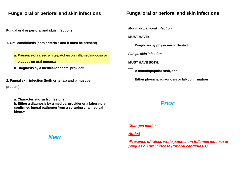# **Fungal oral or perioral and skin infections Fungal oral or perioral and skin infections**

**Fungal oral or perioral and skin infections**

- **1. Oral candidiasis (both criteria a and b must be present)**
	- **a. Presence of raised white patches on inflamed mucosa or**
		- **plaques on oral mucosa**
	- **b. Diagnosis by a medical or dental provider**
- **2. Fungal skin infection (both criteria a and b must be present)**
	- **a. Characteristic rash or lesions**
	- **b. Either a diagnosis by a medical provider or a laboratory confirmed fungal pathogen from a scraping or a medical biopsy**

# *New*

*Mouth or peri-oral infection*

**MUST HAVE:**



*Fungal skin infection*

**MUST HAVE BOTH:**

 **A maculopapular rash, and**

 **Either physician diagnosis or lab confirmation**

# *Prior*

## *Changes made:*

## *Added*

•*Presence of raised white patches on inflamed mucosa or plaques on oral mucosa (for oral candidiasis)*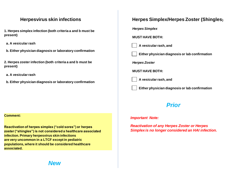**1. Herpes simplex infection (both criteria a and b must be present)**

**a. A vesicular rash**

**b. Either physician diagnosis or laboratory confirmation**

**2. Herpes zoster infection (both criteria a and b must be present)**

**a. A vesicular rash**

**b. Either physician diagnosis or laboratory confirmation**

#### **Comment:**

**Reactivation of herpes simplex ("cold sores") or herpes zoster ("shingles") is not considered a healthcare associated infection. Primary herpesvirus skin infections are very uncommon in a LTCF except in pediatric populations, where it should be considered healthcare associated.**

# **Herpesvirus skin infections Herpes Simplex/Herpes Zoster (Shingles)**

*Herpes Simplex*

**MUST HAVE BOTH:**

 **A vesicular rash, and** 

 **Either physician diagnosis or lab confirmation**

*Herpes Zoster*

**MUST HAVE BOTH:**

 **A vesicular rash, and** 

 **Either physician diagnosis or lab confirmation**

# *Prior*

#### *Important Note:*

*Reactivation of any Herpes Zoster or Herpes Simplex is no longer considered an HAI infection.* 

*New*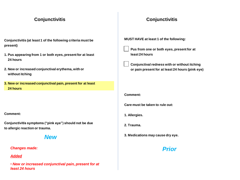- **Conjunctivitis (at least 1 of the following criteria must be present)**
- **1. Pus appearing from 1 or both eyes, present for at least 24 hours**
- **2. New or increased conjunctival erythema, with or without itching**
- **3. New or increased conjunctival pain, present for at least 24 hours**

#### **Comment:**

**Conjunctivitis symptoms ("pink eye") should not be due to allergic reaction or trauma.**

## *New*

#### *Changes made:*

### *Added*

• *New or increased conjunctival pain, present for at least 24 hours*

# **Conjunctivitis Conjunctivitis**

**MUST HAVE at least 1 of the following:**

 **Pus from one or both eyes, present for at least 24 hours**

 **Conjunctival redness with or without itching or pain present for at least 24 hours (pink eye)**

#### **Comment:**

**Care must be taken to rule out:**

- **1. Allergies.**
- **2. Trauma.**
- **3. Medications may cause dry eye.**

# *Prior*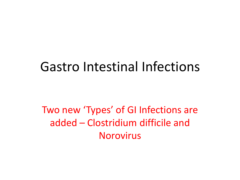# Gastro Intestinal Infections

Two new 'Types' of GI Infections are added – Clostridium difficile and Norovirus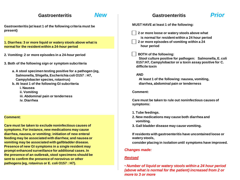**Gastroenteritis (at least 1 of the following criteria must be present)**

**1. Diarrhea: 3 or more liquid or watery stools above what is normal for the resident within a 24-hour period**

- **2. Vomiting: 2 or more episodes in a 24-hour period**
- **3. Both of the following sign or symptom subcriteria**
	- **a. A stool specimen testing positive for a pathogen (eg, Salmonella, Shigella, Escherichia coli O157 : H7, Campylobacter species, rotavirus)**
	- **b. At least 1 of the following GI subcriteria**
		- **i. Nausea**
		- **ii. Vomiting**
		- **iii. Abdominal pain or tenderness**
		- **iv. Diarrhea**

#### **Comment:**

**Care must be taken to exclude noninfectious causes of symptoms. For instance, new medications may cause diarrhea, nausea, or vomiting; initiation of new enteral feeding may be associated with diarrhea; and nausea or vomiting may be associated with gallbladder disease. Presence of new GI symptoms in a single resident may prompt enhanced surveillance for additional cases. In the presence of an outbreak, stool specimens should be sent to confirm the presence of norovirus or other pathogens (eg, rotavirus or E. coli O157 : H7).**

# **MUST HAVE at least 1 of the following: 2 or more loose or watery stools above what is normal for resident within a 24 hour period 2 or more episodes of vomiting within a 24 hour period BOTH of the following: Stool culture positive for pathogen: Salmonella, E. coli 0157:H7, Campylobactor or a toxin assay positive for C. difficile toxin AND At least 1 of the following: nausea, vomiting, diarrhea, abdominal pain or tenderness Comment: Care must be taken to rule out noninfectious causes of symptoms: 1. Tube feedings. 2. New medications may cause both diarrhea and vomiting. 3. Gall bladder disease may cause vomiting. If residents with gastroenteritis have uncontained loose or watery stools, consider placing in isolation until symptoms have improved. Gastroenteritis Gastroenteritis** *New PriorChanges made: Revised* • *Number of liquid or watery stools within a 24 hour period (above what is normal for the patient) increased from 2 or more to 3 or more*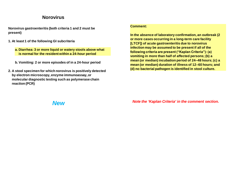## **Norovirus**

**Norovirus gastroenteritis (both criteria 1 and 2 must be present)**

- **1. At least 1 of the following GI subcriteria**
	- **a. Diarrhea: 3 or more liquid or watery stools above what is normal for the resident within a 24-hour period**
	- **b. Vomiting: 2 or more episodes of in a 24-hour period**
- **2. A stool specimen for which norovirus is positively detected by electron microscopy, enzyme immunoassay, or molecular diagnostic testing such as polymerase chain reaction (PCR)**

#### **Comment:**

**In the absence of laboratory confirmation, an outbreak (2 or more cases occurring in a long-term care facility [LTCF]) of acute gastroenteritis due to norovirus infection may be assumed to be present if all of the following criteria are present ("Kaplan Criteria"): (a) vomiting in more than half of affected persons; (b) a mean (or median) incubation period of 24–48 hours; (c) a mean (or median) duration of illness of 12–60 hours; and (d) no bacterial pathogen is identified in stool culture.**

*New Note the 'Kaplan Criteria' in the comment section.*